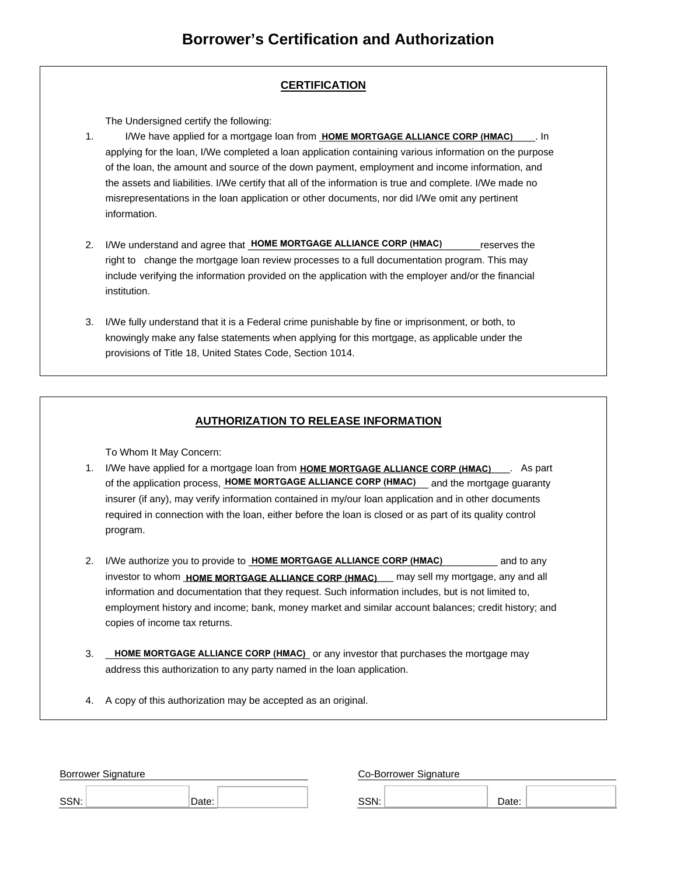## **CERTIFICATION**

The Undersigned certify the following:

- 1. I/We have applied for a mortgage loan from **HOME MORTGAGE ALLIANCE CORP (HMAC)** [10] applying for the loan, I/We completed a loan application containing various information on the purpose of the loan, the amount and source of the down payment, employment and income information, and the assets and liabilities. I/We certify that all of the information is true and complete. I/We made no misrepresentations in the loan application or other documents, nor did I/We omit any pertinent information.
- 2. I/We understand and agree that **HOME MORTGAGE ALLIANCE CORP (HMAC)** \_\_\_\_\_\_\_reserves the right to change the mortgage loan review processes to a full documentation program. This may include verifying the information provided on the application with the employer and/or the financial institution.
- 3. I/We fully understand that it is a Federal crime punishable by fine or imprisonment, or both, to knowingly make any false statements when applying for this mortgage, as applicable under the provisions of Title 18, United States Code, Section 1014.

## **AUTHORIZATION TO RELEASE INFORMATION**

To Whom It May Concern:

- 1. I/We have applied for a mortgage loan from HOME MORTGAGE ALLIANCE CORP (HMAC) \_\_\_\_. As part of the application process, HOME MORTGAGE ALLIANCE CORP (HMAC) sand the mortgage guaranty insurer (if any), may verify information contained in my/our loan application and in other documents required in connection with the loan, either before the loan is closed or as part of its quality control program.
- 2. I/We authorize you to provide to **HOME MORTGAGE ALLIANCE CORP (HMAC)** \_\_\_\_\_\_\_\_\_\_ and to any investor to whom **HOME MORTGAGE ALLIANCE CORP (HMAC)** \_\_\_ may sell my mortgage, any and all information and documentation that they request. Such information includes, but is not limited to, employment history and income; bank, money market and similar account balances; credit history; and copies of income tax returns.
- 3. LOME MORTGAGE ALLIANCE CORP (HMAC) or any investor that purchases the mortgage may address this authorization to any party named in the loan application.
- 4. A copy of this authorization may be accepted as an original.

| <b>Borrower Signature</b> |       | Co-Borrower Signature |       |
|---------------------------|-------|-----------------------|-------|
| SSN:                      | Date: | SSN:                  | Date: |